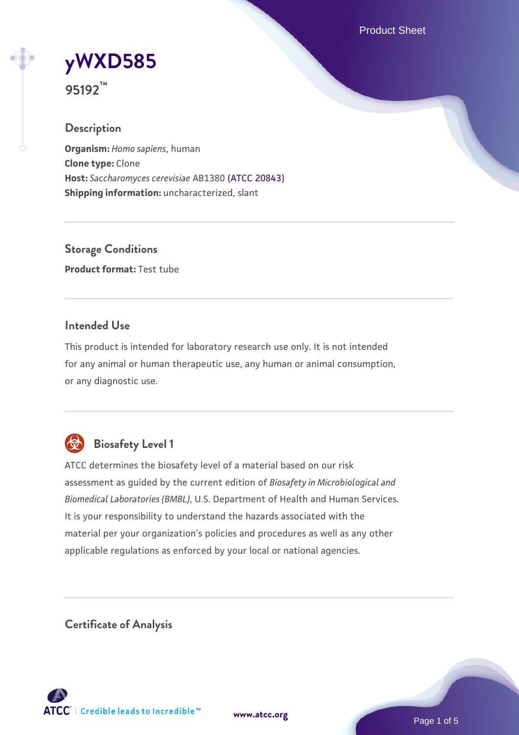Product Sheet

# **[yWXD585](https://www.atcc.org/products/95192)**

**95192™**

# **Description**

**Organism:** *Homo sapiens*, human **Clone type:** Clone **Host:** *Saccharomyces cerevisiae* AB1380 [\(ATCC 20843\)](https://www.atcc.org/products/20843) **Shipping information:** uncharacterized, slant

**Storage Conditions Product format:** Test tube

# **Intended Use**

This product is intended for laboratory research use only. It is not intended for any animal or human therapeutic use, any human or animal consumption, or any diagnostic use.



# **Biosafety Level 1**

ATCC determines the biosafety level of a material based on our risk assessment as guided by the current edition of *Biosafety in Microbiological and Biomedical Laboratories (BMBL)*, U.S. Department of Health and Human Services. It is your responsibility to understand the hazards associated with the material per your organization's policies and procedures as well as any other applicable regulations as enforced by your local or national agencies.

**Certificate of Analysis**

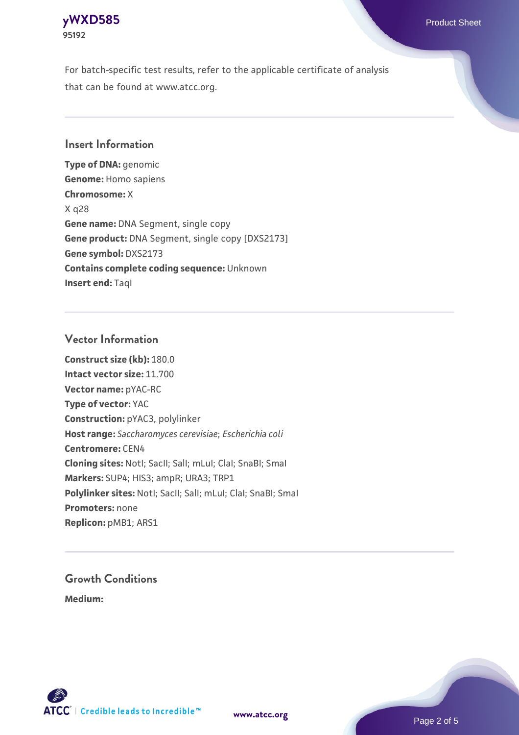# **[yWXD585](https://www.atcc.org/products/95192)** Product Sheet **95192**

For batch-specific test results, refer to the applicable certificate of analysis that can be found at www.atcc.org.

# **Insert Information**

**Type of DNA:** genomic **Genome:** Homo sapiens **Chromosome:** X X q28 **Gene name:** DNA Segment, single copy **Gene product:** DNA Segment, single copy [DXS2173] **Gene symbol:** DXS2173 **Contains complete coding sequence:** Unknown **Insert end: Tagl** 

# **Vector Information**

**Construct size (kb):** 180.0 **Intact vector size:** 11.700 **Vector name:** pYAC-RC **Type of vector:** YAC **Construction:** pYAC3, polylinker **Host range:** *Saccharomyces cerevisiae*; *Escherichia coli* **Centromere:** CEN4 **Cloning sites:** NotI; SacII; SalI; mLuI; ClaI; SnaBI; SmaI **Markers:** SUP4; HIS3; ampR; URA3; TRP1 Polylinker sites: Notl; SacII; SalI; mLuI; ClaI; SnaBI; SmaI **Promoters:** none **Replicon:** pMB1; ARS1

# **Growth Conditions**

**Medium:** 



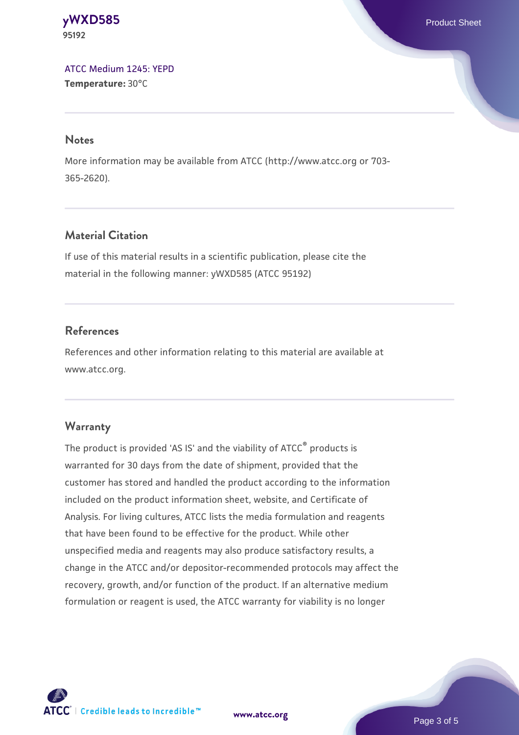**[yWXD585](https://www.atcc.org/products/95192)** Product Sheet **95192**

[ATCC Medium 1245: YEPD](https://www.atcc.org/-/media/product-assets/documents/microbial-media-formulations/1/2/4/5/atcc-medium-1245.pdf?rev=705ca55d1b6f490a808a965d5c072196) **Temperature:** 30°C

#### **Notes**

More information may be available from ATCC (http://www.atcc.org or 703- 365-2620).

# **Material Citation**

If use of this material results in a scientific publication, please cite the material in the following manner: yWXD585 (ATCC 95192)

# **References**

References and other information relating to this material are available at www.atcc.org.

#### **Warranty**

The product is provided 'AS IS' and the viability of ATCC® products is warranted for 30 days from the date of shipment, provided that the customer has stored and handled the product according to the information included on the product information sheet, website, and Certificate of Analysis. For living cultures, ATCC lists the media formulation and reagents that have been found to be effective for the product. While other unspecified media and reagents may also produce satisfactory results, a change in the ATCC and/or depositor-recommended protocols may affect the recovery, growth, and/or function of the product. If an alternative medium formulation or reagent is used, the ATCC warranty for viability is no longer

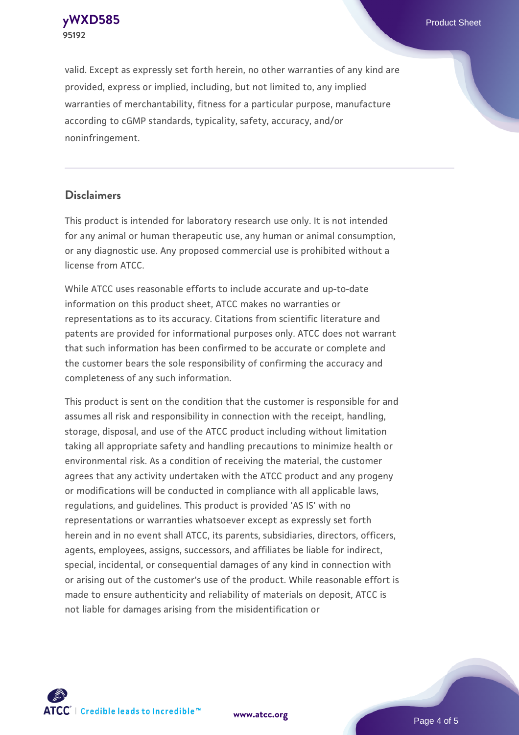**[yWXD585](https://www.atcc.org/products/95192)** Product Sheet **95192**

valid. Except as expressly set forth herein, no other warranties of any kind are provided, express or implied, including, but not limited to, any implied warranties of merchantability, fitness for a particular purpose, manufacture according to cGMP standards, typicality, safety, accuracy, and/or noninfringement.

#### **Disclaimers**

This product is intended for laboratory research use only. It is not intended for any animal or human therapeutic use, any human or animal consumption, or any diagnostic use. Any proposed commercial use is prohibited without a license from ATCC.

While ATCC uses reasonable efforts to include accurate and up-to-date information on this product sheet, ATCC makes no warranties or representations as to its accuracy. Citations from scientific literature and patents are provided for informational purposes only. ATCC does not warrant that such information has been confirmed to be accurate or complete and the customer bears the sole responsibility of confirming the accuracy and completeness of any such information.

This product is sent on the condition that the customer is responsible for and assumes all risk and responsibility in connection with the receipt, handling, storage, disposal, and use of the ATCC product including without limitation taking all appropriate safety and handling precautions to minimize health or environmental risk. As a condition of receiving the material, the customer agrees that any activity undertaken with the ATCC product and any progeny or modifications will be conducted in compliance with all applicable laws, regulations, and guidelines. This product is provided 'AS IS' with no representations or warranties whatsoever except as expressly set forth herein and in no event shall ATCC, its parents, subsidiaries, directors, officers, agents, employees, assigns, successors, and affiliates be liable for indirect, special, incidental, or consequential damages of any kind in connection with or arising out of the customer's use of the product. While reasonable effort is made to ensure authenticity and reliability of materials on deposit, ATCC is not liable for damages arising from the misidentification or



**[www.atcc.org](http://www.atcc.org)**

Page 4 of 5